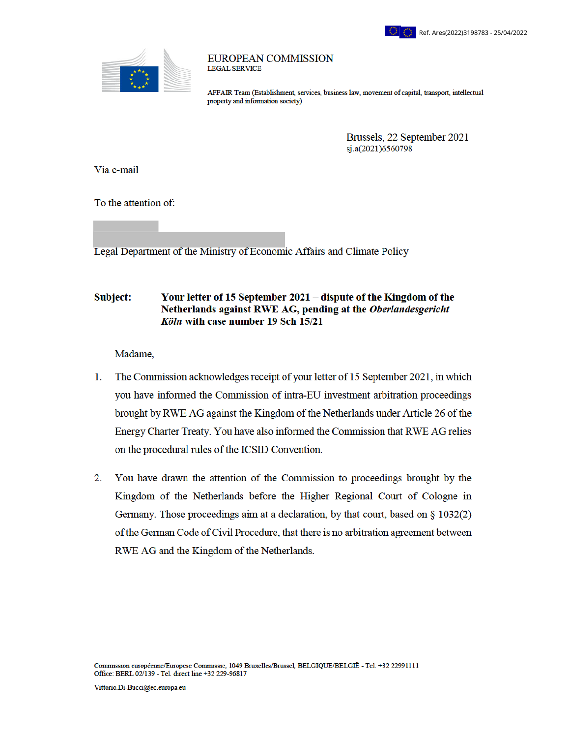



**EUROPEAN COMMISSION LEGAL SERVICE** 

AFFAIR Team (Establishment, services, business law, movement of capital, transport, intellectual property and information society)

> Brussels, 22 September 2021 sj.a(2021)6560798

Via e-mail

To the attention of:

Legal Department of the Ministry of Economic Affairs and Climate Policy

## Subject: Your letter of 15 September 2021 – dispute of the Kingdom of the Netherlands against RWE AG, pending at the Oberlandesgericht Köln with case number 19 Sch 15/21

Madame,

- The Commission acknowledges receipt of your letter of 15 September 2021, in which 1. you have informed the Commission of intra-EU investment arbitration proceedings brought by RWE AG against the Kingdom of the Netherlands under Article 26 of the Energy Charter Treaty. You have also informed the Commission that RWE AG relies on the procedural rules of the ICSID Convention.
- $2.$ You have drawn the attention of the Commission to proceedings brought by the Kingdom of the Netherlands before the Higher Regional Court of Cologne in Germany. Those proceedings aim at a declaration, by that court, based on  $\S$  1032(2) of the German Code of Civil Procedure, that there is no arbitration agreement between RWE AG and the Kingdom of the Netherlands.

Commission européenne/Europese Commissie, 1049 Bruxelles/Brussel, BELGIQUE/BELGIE - Tel. +32 22991111 Office: BERL 02/139 - Tel. direct line +32 229-96817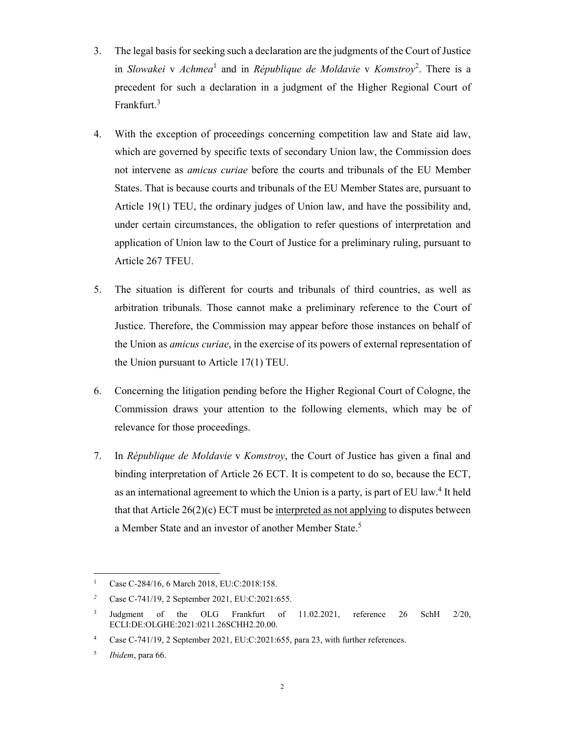- 3. The legal basis for seeking such a declaration are the judgments of the Court of Justice in *Slowakei* v *Achmea*<sup>1</sup> and in *République de Moldavie* v *Komstroy*<sup>2</sup> . There is a precedent for such a declaration in a judgment of the Higher Regional Court of Frankfurt.<sup>3</sup>
- 4. With the exception of proceedings concerning competition law and State aid law, which are governed by specific texts of secondary Union law, the Commission does not intervene as *amicus curiae* before the courts and tribunals of the EU Member States. That is because courts and tribunals of the EU Member States are, pursuant to Article 19(1) TEU, the ordinary judges of Union law, and have the possibility and, under certain circumstances, the obligation to refer questions of interpretation and application of Union law to the Court of Justice for a preliminary ruling, pursuant to Article 267 TFEU.
- 5. The situation is different for courts and tribunals of third countries, as well as arbitration tribunals. Those cannot make a preliminary reference to the Court of Justice. Therefore, the Commission may appear before those instances on behalf of the Union as *amicus curiae*, in the exercise of its powers of external representation of the Union pursuant to Article 17(1) TEU.
- 6. Concerning the litigation pending before the Higher Regional Court of Cologne, the Commission draws your attention to the following elements, which may be of relevance for those proceedings.
- 7. In *République de Moldavie* v *Komstroy*, the Court of Justice has given a final and binding interpretation of Article 26 ECT. It is competent to do so, because the ECT, as an international agreement to which the Union is a party, is part of EU law.<sup>4</sup> It held that that Article  $26(2)(c)$  ECT must be interpreted as not applying to disputes between a Member State and an investor of another Member State.<sup>5</sup>

 $\overline{a}$ 1 Case C-284/16, 6 March 2018, EU:C:2018:158.

*<sup>2</sup>* Case C-741/19, 2 September 2021, EU:C:2021:655.

<sup>3</sup> Judgment of the OLG Frankfurt of 11.02.2021, reference 26 SchH 2/20, ECLI:DE:OLGHE:2021:0211.26SCHH2.20.00.

<sup>4</sup> Case C-741/19, 2 September 2021, EU:C:2021:655, para 23, with further references.

<sup>5</sup> *Ibidem*, para 66.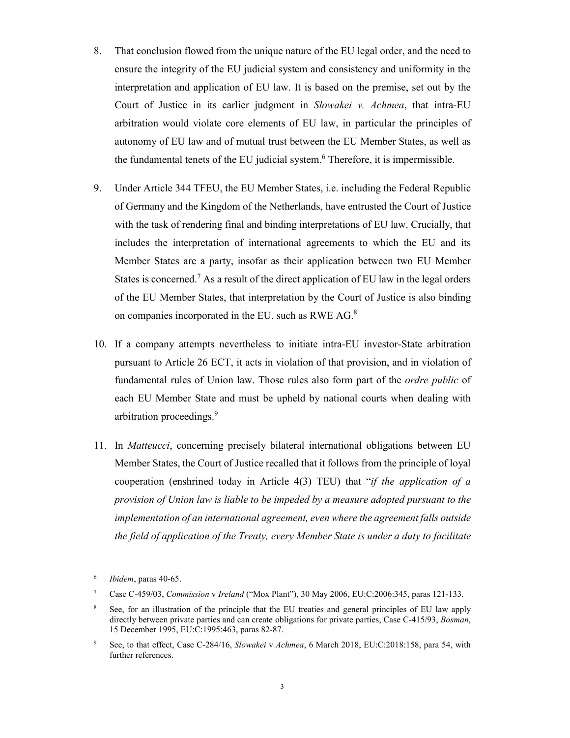- 8. That conclusion flowed from the unique nature of the EU legal order, and the need to ensure the integrity of the EU judicial system and consistency and uniformity in the interpretation and application of EU law. It is based on the premise, set out by the Court of Justice in its earlier judgment in *Slowakei v. Achmea*, that intra-EU arbitration would violate core elements of EU law, in particular the principles of autonomy of EU law and of mutual trust between the EU Member States, as well as the fundamental tenets of the EU judicial system.<sup>6</sup> Therefore, it is impermissible.
- 9. Under Article 344 TFEU, the EU Member States, i.e. including the Federal Republic of Germany and the Kingdom of the Netherlands, have entrusted the Court of Justice with the task of rendering final and binding interpretations of EU law. Crucially, that includes the interpretation of international agreements to which the EU and its Member States are a party, insofar as their application between two EU Member States is concerned.<sup>7</sup> As a result of the direct application of EU law in the legal orders of the EU Member States, that interpretation by the Court of Justice is also binding on companies incorporated in the EU, such as RWE AG.8
- 10. If a company attempts nevertheless to initiate intra-EU investor-State arbitration pursuant to Article 26 ECT, it acts in violation of that provision, and in violation of fundamental rules of Union law. Those rules also form part of the *ordre public* of each EU Member State and must be upheld by national courts when dealing with arbitration proceedings.<sup>9</sup>
- 11. In *Matteucci*, concerning precisely bilateral international obligations between EU Member States, the Court of Justice recalled that it follows from the principle of loyal cooperation (enshrined today in Article 4(3) TEU) that "*if the application of a provision of Union law is liable to be impeded by a measure adopted pursuant to the implementation of an international agreement, even where the agreement falls outside the field of application of the Treaty, every Member State is under a duty to facilitate*

 $\overline{a}$ 

<sup>6</sup> *Ibidem*, paras 40-65.

<sup>7</sup> Case C-459/03, *Commission* v *Ireland* ("Mox Plant"), 30 May 2006, EU:C:2006:345, paras 121-133.

<sup>8</sup> See, for an illustration of the principle that the EU treaties and general principles of EU law apply directly between private parties and can create obligations for private parties, Case C-415/93, *Bosman*, 15 December 1995, EU:C:1995:463, paras 82-87.

<sup>9</sup> See, to that effect, Case C-284/16, *Slowakei* v *Achmea*, 6 March 2018, EU:C:2018:158, para 54, with further references.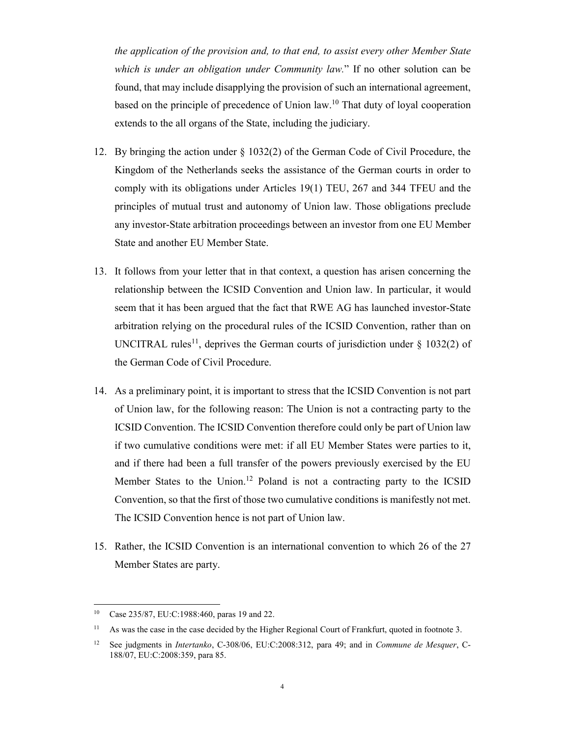*the application of the provision and, to that end, to assist every other Member State which is under an obligation under Community law.*" If no other solution can be found, that may include disapplying the provision of such an international agreement, based on the principle of precedence of Union law.10 That duty of loyal cooperation extends to the all organs of the State, including the judiciary.

- 12. By bringing the action under § 1032(2) of the German Code of Civil Procedure, the Kingdom of the Netherlands seeks the assistance of the German courts in order to comply with its obligations under Articles 19(1) TEU, 267 and 344 TFEU and the principles of mutual trust and autonomy of Union law. Those obligations preclude any investor-State arbitration proceedings between an investor from one EU Member State and another EU Member State.
- 13. It follows from your letter that in that context, a question has arisen concerning the relationship between the ICSID Convention and Union law. In particular, it would seem that it has been argued that the fact that RWE AG has launched investor-State arbitration relying on the procedural rules of the ICSID Convention, rather than on UNCITRAL rules<sup>11</sup>, deprives the German courts of jurisdiction under  $\S$  1032(2) of the German Code of Civil Procedure.
- 14. As a preliminary point, it is important to stress that the ICSID Convention is not part of Union law, for the following reason: The Union is not a contracting party to the ICSID Convention. The ICSID Convention therefore could only be part of Union law if two cumulative conditions were met: if all EU Member States were parties to it, and if there had been a full transfer of the powers previously exercised by the EU Member States to the Union.<sup>12</sup> Poland is not a contracting party to the ICSID Convention, so that the first of those two cumulative conditions is manifestly not met. The ICSID Convention hence is not part of Union law.
- 15. Rather, the ICSID Convention is an international convention to which 26 of the 27 Member States are party.

 $\overline{a}$ 

<sup>10</sup> Case 235/87, EU:C:1988:460, paras 19 and 22.

<sup>&</sup>lt;sup>11</sup> As was the case in the case decided by the Higher Regional Court of Frankfurt, quoted in footnote 3.

<sup>12</sup> See judgments in *Intertanko*, C-308/06, EU:C:2008:312, para 49; and in *Commune de Mesquer*, C-188/07, EU:C:2008:359, para 85.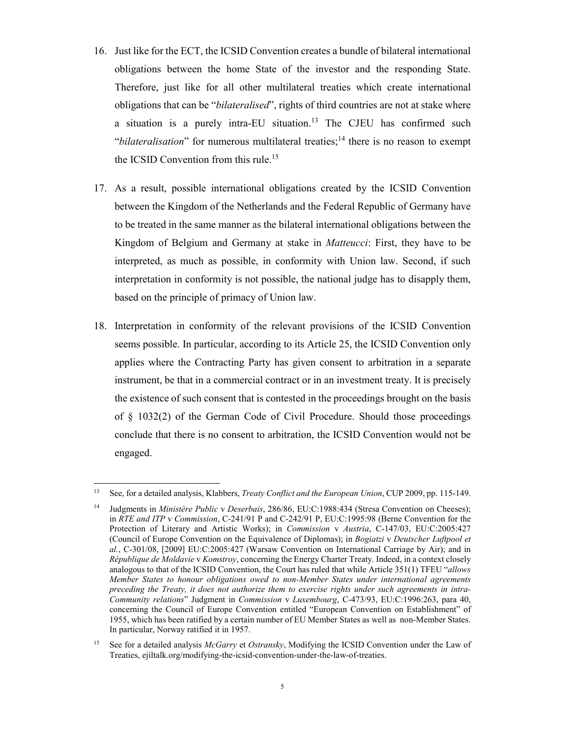- 16. Just like for the ECT, the ICSID Convention creates a bundle of bilateral international obligations between the home State of the investor and the responding State. Therefore, just like for all other multilateral treaties which create international obligations that can be "*bilateralised*", rights of third countries are not at stake where a situation is a purely intra-EU situation.<sup>13</sup> The CJEU has confirmed such "*bilateralisation*" for numerous multilateral treaties;<sup>14</sup> there is no reason to exempt the ICSID Convention from this rule.<sup>15</sup>
- 17. As a result, possible international obligations created by the ICSID Convention between the Kingdom of the Netherlands and the Federal Republic of Germany have to be treated in the same manner as the bilateral international obligations between the Kingdom of Belgium and Germany at stake in *Matteucci*: First, they have to be interpreted, as much as possible, in conformity with Union law. Second, if such interpretation in conformity is not possible, the national judge has to disapply them, based on the principle of primacy of Union law.
- 18. Interpretation in conformity of the relevant provisions of the ICSID Convention seems possible. In particular, according to its Article 25, the ICSID Convention only applies where the Contracting Party has given consent to arbitration in a separate instrument, be that in a commercial contract or in an investment treaty. It is precisely the existence of such consent that is contested in the proceedings brought on the basis of  $\S$  1032(2) of the German Code of Civil Procedure. Should those proceedings conclude that there is no consent to arbitration, the ICSID Convention would not be engaged.

 $\overline{a}$ 

<sup>13</sup> See, for a detailed analysis, Klabbers, *Treaty Conflict and the European Union*, CUP 2009, pp. 115-149.

<sup>14</sup> Judgments in *Ministère Public* v *Deserbais*, 286/86, EU:C:1988:434 (Stresa Convention on Cheeses); in *RTE and ITP* v *Commission*, C-241/91 P and C-242/91 P, EU:C:1995:98 (Berne Convention for the Protection of Literary and Artistic Works); in *Commission* v *Austria*, C-147/03, EU:C:2005:427 (Council of Europe Convention on the Equivalence of Diplomas); in *Bogiatzi* v *Deutscher Luftpool et al.*, C-301/08, [2009] EU:C:2005:427 (Warsaw Convention on International Carriage by Air); and in *République de Moldavie* v *Komstroy*, concerning the Energy Charter Treaty. Indeed, in a context closely analogous to that of the ICSID Convention, the Court has ruled that while Article 351(1) TFEU "*allows Member States to honour obligations owed to non-Member States under international agreements preceding the Treaty, it does not authorize them to exercise rights under such agreements in intra-Community relations*" Judgment in *Commission* v *Luxembourg*, C-473/93, EU:C:1996:263, para 40, concerning the Council of Europe Convention entitled "European Convention on Establishment" of 1955, which has been ratified by a certain number of EU Member States as well as non-Member States. In particular, Norway ratified it in 1957.

<sup>15</sup> See for a detailed analysis *McGarry* et *Ostransky*, Modifying the ICSID Convention under the Law of Treaties, ejiltalk.org/modifying-the-icsid-convention-under-the-law-of-treaties.